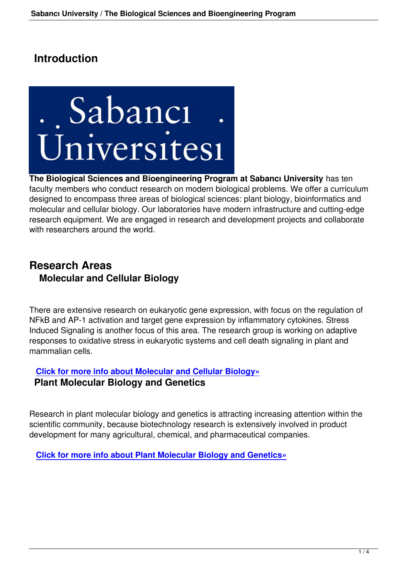# **Introduction**



**The Biological Sciences and Bioengineering Program at Sabancı University** has ten faculty members who conduct research on modern biological problems. We offer a curriculum designed to encompass three areas of biological sciences: plant biology, bioinformatics and molecular and cellular biology. Our laboratories have modern infrastructure and cutting-edge research equipment. We are engaged in research and development projects and collaborate with researchers around the world.

## **Research Areas Molecular and Cellular Biology**

There are extensive research on eukaryotic gene expression, with focus on the regulation of NFkB and AP-1 activation and target gene expression by inflammatory cytokines. Stress Induced Signaling is another focus of this area. The research group is working on adaptive responses to oxidative stress in eukaryotic systems and cell death signaling in plant and mammalian cells.

#### **Click for more info about Molecular and Cellular Biology» Plant Molecular Biology and Genetics**

Research in plant molecular biology and genetics is attracting increasing attention within the scientific community, because biotechnology research is extensively involved in product development for many agricultural, chemical, and pharmaceutical companies.

**Click for more info about Plant Molecular Biology and Genetics»**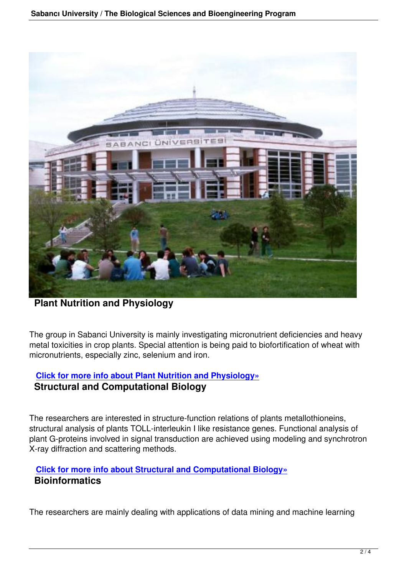

**Plant Nutrition and Physiology**

The group in Sabanci University is mainly investigating micronutrient deficiencies and heavy metal toxicities in crop plants. Special attention is being paid to biofortification of wheat with micronutrients, especially zinc, selenium and iron.

### **Click for more info about Plant Nutrition and Physiology» Structural and Computational Biology**

The researchers are interested in structure-function relations of plants metallothioneins, structural analysis of plants TOLL-interleukin I like resistance genes. Functional analysis of plant G-proteins involved in signal transduction are achieved using modeling and synchrotron X-ray diffraction and scattering methods.

#### **Click for more info about Structural and Computational Biology» Bioinformatics**

The researchers are mainly dealing with applications of data mining and machine learning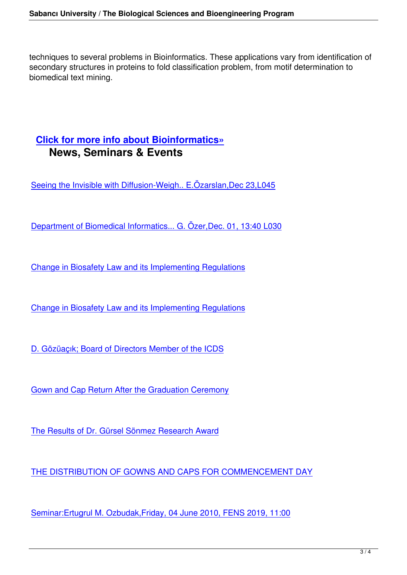techniques to several problems in Bioinformatics. These applications vary from identification of secondary structures in proteins to fold classification problem, from motif determination to biomedical text mining.

### **Click for more info about Bioinformatics» News, Seminars & Events**

Seeing the Invisible with Diffusion-Weigh.. E.Özarslan,Dec 23,L045

[Department of Biomedical Informatics... G. Özer,Dec. 01, 13:40 L03](http://fens.sabanciuniv.edu/bio/eng/Anasayfa/DetayHaber.php?No=35337&TB_iframe=true)0

[Change in Biosafety Law and its Implementing Regulations](http://fens.sabanciuniv.edu/bio/eng/Anasayfa/DetayHaber.php?No=35061&TB_iframe=true)

[Change in Biosafety Law and its Implementing Regulations](http://fens.sabanciuniv.edu/bio/eng/Anasayfa/DetayHaber.php?No=34220&TB_iframe=true)

[D. Gözüaçık; Board of Directors Member of the ICDS](http://fens.sabanciuniv.edu/bio/eng/Anasayfa/DetayHaber.php?No=34193&TB_iframe=true)

[Gown and Cap Return After the Graduation Ceremon](http://fens.sabanciuniv.edu/bio/eng/Anasayfa/DetayHaber.php?No=33813&TB_iframe=true)y

[The Results of Dr. Gürsel Sönmez Research Award](http://fens.sabanciuniv.edu/bio/eng/Anasayfa/DetayHaber.php?No=33739&TB_iframe=true)

[THE DISTRIBUTION OF GOWNS AND CAPS FOR](http://fens.sabanciuniv.edu/bio/eng/Anasayfa/DetayHaber.php?No=33692&TB_iframe=true) COMMENCEMENT DAY

[Seminar:Ertugrul M. Ozbudak,Friday, 04 June 2010, FENS 2019, 11:00](http://fens.sabanciuniv.edu/bio/eng/Anasayfa/DetayHaber.php?No=33589&TB_iframe=true)